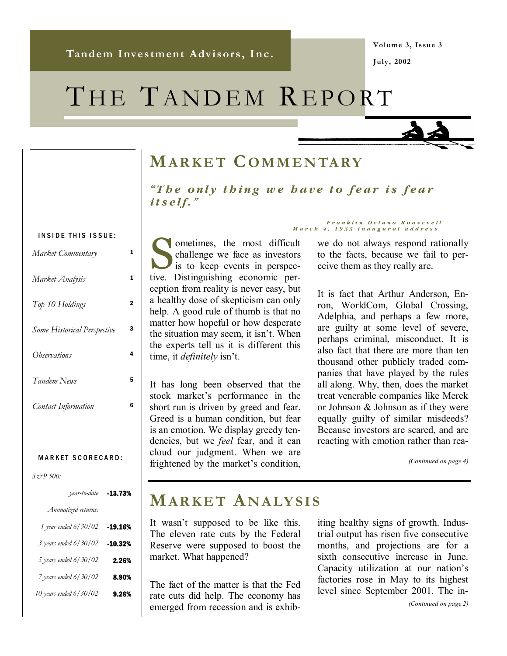**Volume 3, Issue 3 July, 2002** 

# THE TANDEM REPORT



# **MARKET COMMENTARY**

*"The only thing we have to fear is fear itself."* 

#### INSIDE THIS ISSUE:

| Market Commentary           | 1 |
|-----------------------------|---|
| Market Analysis             | 1 |
| Top 10 Holdings             | 2 |
| Some Historical Perspective | 3 |
| Ohservations                | 4 |
| Tandem News                 | 5 |
| <b>Contact Information</b>  | 6 |

#### MARKET SCORECARD:

*S&P 500:* 

| -13.73% | year-to-date            |
|---------|-------------------------|
|         | Annualized returns:     |
| -19.16% | 1 year ended 6/30/02    |
| -10.32% | 3 years ended 6/30/02   |
| 2.26%   | 5 years ended $6/30/02$ |
| 8.90%   | 7 years ended 6/30/02   |
| 9.26%   | 10 years ended 6/30/02  |

In ometimes, the most difficult challenge we face as investors is to keep events in perspective. Distinguishing economic perception from reality is never easy, but a healthy dose of skepticism can only help. A good rule of thumb is that no matter how hopeful or how desperate the situation may seem, it isn't. When the experts tell us it is different this time, it *definitely* isn't.

It has long been observed that the stock market's performance in the short run is driven by greed and fear. Greed is a human condition, but fear is an emotion. We display greedy tendencies, but we *feel* fear, and it can cloud our judgment. When we are frightened by the market's condition,

#### *Franklin Delano Roosevelt March 4, 1933 inaugural address*

we do not always respond rationally to the facts, because we fail to perceive them as they really are.

It is fact that Arthur Anderson, Enron, WorldCom, Global Crossing, Adelphia, and perhaps a few more, are guilty at some level of severe, perhaps criminal, misconduct. It is also fact that there are more than ten thousand other publicly traded companies that have played by the rules all along. Why, then, does the market treat venerable companies like Merck or Johnson & Johnson as if they were equally guilty of similar misdeeds? Because investors are scared, and are reacting with emotion rather than rea-

*(Continued on page 4)* 

# **MARKET ANALYSIS**

It wasn't supposed to be like this. The eleven rate cuts by the Federal Reserve were supposed to boost the market. What happened?

The fact of the matter is that the Fed rate cuts did help. The economy has emerged from recession and is exhibiting healthy signs of growth. Industrial output has risen five consecutive months, and projections are for a sixth consecutive increase in June. Capacity utilization at our nation's factories rose in May to its highest level since September 2001. The in-

*(Continued on page 2)*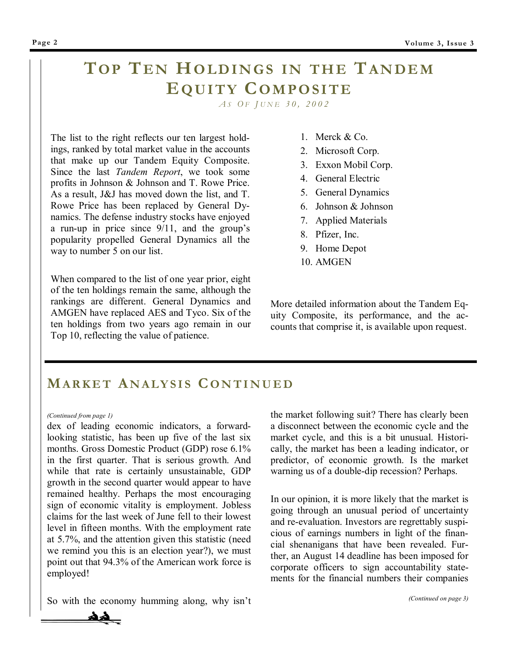# **TOP TEN HOLDINGS IN THE TANDEM EQUITY COMPOSITE**

 *A S O F J UNE 30, 2002* 

The list to the right reflects our ten largest holdings, ranked by total market value in the accounts that make up our Tandem Equity Composite. Since the last *Tandem Report*, we took some profits in Johnson & Johnson and T. Rowe Price. As a result, J&J has moved down the list, and T. Rowe Price has been replaced by General Dynamics. The defense industry stocks have enjoyed a run-up in price since  $9/11$ , and the group's popularity propelled General Dynamics all the way to number 5 on our list.

When compared to the list of one year prior, eight of the ten holdings remain the same, although the rankings are different. General Dynamics and AMGEN have replaced AES and Tyco. Six of the ten holdings from two years ago remain in our Top 10, reflecting the value of patience.

- 1. Merck & Co.
- 2. Microsoft Corp.
- 3. Exxon Mobil Corp.
- 4. General Electric
- 5. General Dynamics
- 6. Johnson & Johnson
- 7. Applied Materials
- 8. Pfizer, Inc.
- 9. Home Depot
- 10. AMGEN

More detailed information about the Tandem Equity Composite, its performance, and the accounts that comprise it, is available upon request.

### **MARKET A NALYSIS C ONTINUED**

#### *(Continued from page 1)*

dex of leading economic indicators, a forwardlooking statistic, has been up five of the last six months. Gross Domestic Product (GDP) rose 6.1% in the first quarter. That is serious growth. And while that rate is certainly unsustainable, GDP growth in the second quarter would appear to have remained healthy. Perhaps the most encouraging sign of economic vitality is employment. Jobless claims for the last week of June fell to their lowest level in fifteen months. With the employment rate at 5.7%, and the attention given this statistic (need we remind you this is an election year?), we must point out that 94.3% of the American work force is employed!

So with the economy humming along, why isn't

the market following suit? There has clearly been a disconnect between the economic cycle and the market cycle, and this is a bit unusual. Historically, the market has been a leading indicator, or predictor, of economic growth. Is the market warning us of a double-dip recession? Perhaps.

In our opinion, it is more likely that the market is going through an unusual period of uncertainty and re-evaluation. Investors are regrettably suspicious of earnings numbers in light of the financial shenanigans that have been revealed. Further, an August 14 deadline has been imposed for corporate officers to sign accountability statements for the financial numbers their companies

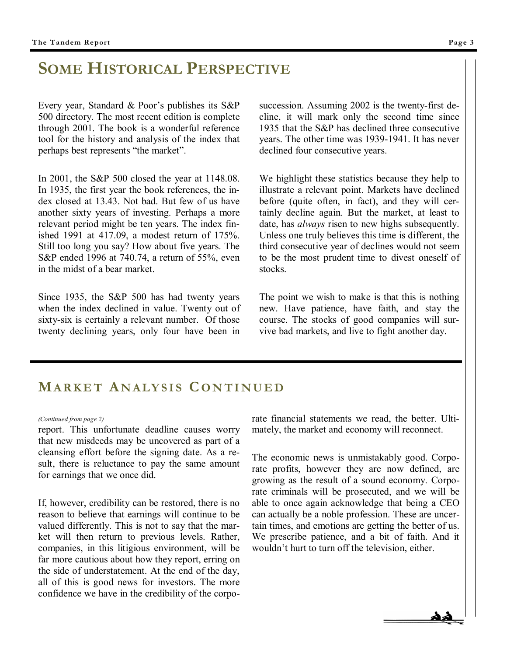# **SOME HISTORICAL PERSPECTIVE**

Every year, Standard & Poor's publishes its  $S\&P$ 500 directory. The most recent edition is complete through 2001. The book is a wonderful reference tool for the history and analysis of the index that perhaps best represents "the market".

In 2001, the S&P 500 closed the year at 1148.08. In 1935, the first year the book references, the index closed at 13.43. Not bad. But few of us have another sixty years of investing. Perhaps a more relevant period might be ten years. The index finished 1991 at 417.09, a modest return of 175%. Still too long you say? How about five years. The S&P ended 1996 at 740.74, a return of 55%, even in the midst of a bear market.

Since 1935, the S&P 500 has had twenty years when the index declined in value. Twenty out of sixty-six is certainly a relevant number. Of those twenty declining years, only four have been in succession. Assuming 2002 is the twenty-first decline, it will mark only the second time since 1935 that the S&P has declined three consecutive years. The other time was 1939-1941. It has never declined four consecutive years.

We highlight these statistics because they help to illustrate a relevant point. Markets have declined before (quite often, in fact), and they will certainly decline again. But the market, at least to date, has *always* risen to new highs subsequently. Unless one truly believes this time is different, the third consecutive year of declines would not seem to be the most prudent time to divest oneself of stocks.

The point we wish to make is that this is nothing new. Have patience, have faith, and stay the course. The stocks of good companies will survive bad markets, and live to fight another day.

#### **MARKET A NALYSIS C ONTINUED**

report. This unfortunate deadline causes worry that new misdeeds may be uncovered as part of a cleansing effort before the signing date. As a result, there is reluctance to pay the same amount for earnings that we once did.

If, however, credibility can be restored, there is no reason to believe that earnings will continue to be valued differently. This is not to say that the market will then return to previous levels. Rather, companies, in this litigious environment, will be far more cautious about how they report, erring on the side of understatement. At the end of the day, all of this is good news for investors. The more confidence we have in the credibility of the corpo-

*(Continued from page 2)* rate financial statements we read, the better. Ultimately, the market and economy will reconnect.

> The economic news is unmistakably good. Corporate profits, however they are now defined, are growing as the result of a sound economy. Corporate criminals will be prosecuted, and we will be able to once again acknowledge that being a CEO can actually be a noble profession. These are uncertain times, and emotions are getting the better of us. We prescribe patience, and a bit of faith. And it wouldn't hurt to turn off the television, either.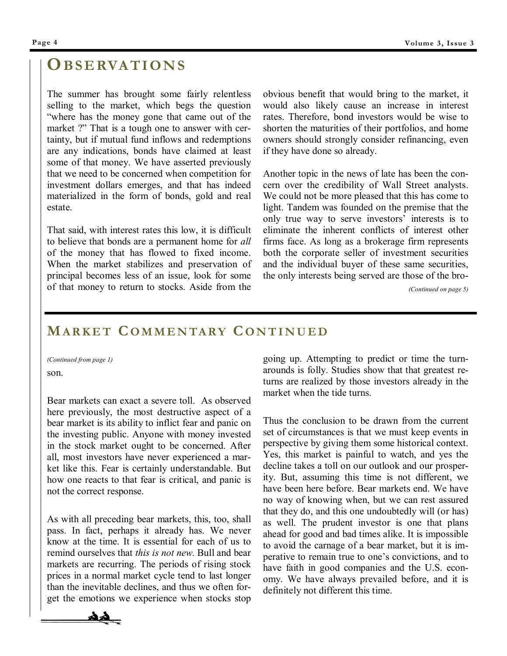# **OBSERVATIONS**

The summer has brought some fairly relentless selling to the market, which begs the question ìwhere has the money gone that came out of the market ?" That is a tough one to answer with certainty, but if mutual fund inflows and redemptions are any indications, bonds have claimed at least some of that money. We have asserted previously that we need to be concerned when competition for investment dollars emerges, and that has indeed materialized in the form of bonds, gold and real estate.

That said, with interest rates this low, it is difficult to believe that bonds are a permanent home for *all* of the money that has flowed to fixed income. When the market stabilizes and preservation of principal becomes less of an issue, look for some of that money to return to stocks. Aside from the

obvious benefit that would bring to the market, it would also likely cause an increase in interest rates. Therefore, bond investors would be wise to shorten the maturities of their portfolios, and home owners should strongly consider refinancing, even if they have done so already.

Another topic in the news of late has been the concern over the credibility of Wall Street analysts. We could not be more pleased that this has come to light. Tandem was founded on the premise that the only true way to serve investors' interests is to eliminate the inherent conflicts of interest other firms face. As long as a brokerage firm represents both the corporate seller of investment securities and the individual buyer of these same securities, the only interests being served are those of the bro-

*(Continued on page 5)* 

### **MARKET C OMMENTARY C ONTINUED**

son. *(Continued from page 1)* 

Bear markets can exact a severe toll. As observed here previously, the most destructive aspect of a bear market is its ability to inflict fear and panic on the investing public. Anyone with money invested in the stock market ought to be concerned. After all, most investors have never experienced a market like this. Fear is certainly understandable. But how one reacts to that fear is critical, and panic is not the correct response.

As with all preceding bear markets, this, too, shall pass. In fact, perhaps it already has. We never know at the time. It is essential for each of us to remind ourselves that *this is not new*. Bull and bear markets are recurring. The periods of rising stock prices in a normal market cycle tend to last longer than the inevitable declines, and thus we often forget the emotions we experience when stocks stop

going up. Attempting to predict or time the turnarounds is folly. Studies show that that greatest returns are realized by those investors already in the market when the tide turns.

Thus the conclusion to be drawn from the current set of circumstances is that we must keep events in perspective by giving them some historical context. Yes, this market is painful to watch, and yes the decline takes a toll on our outlook and our prosperity. But, assuming this time is not different, we have been here before. Bear markets end. We have no way of knowing when, but we can rest assured that they do, and this one undoubtedly will (or has) as well. The prudent investor is one that plans ahead for good and bad times alike. It is impossible to avoid the carnage of a bear market, but it is imperative to remain true to one's convictions, and to have faith in good companies and the U.S. economy. We have always prevailed before, and it is definitely not different this time.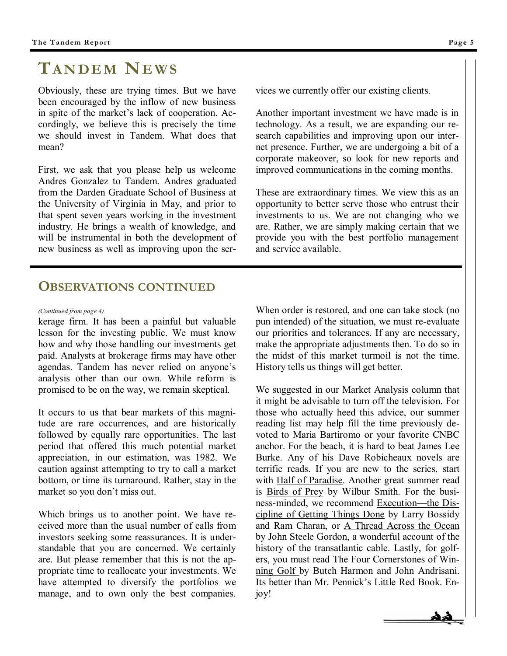# **TANDEM NEWS**

Obviously, these are trying times. But we have been encouraged by the inflow of new business in spite of the market's lack of cooperation. Accordingly, we believe this is precisely the time we should invest in Tandem. What does that mean?

First, we ask that you please help us welcome Andres Gonzalez to Tandem. Andres graduated from the Darden Graduate School of Business at the University of Virginia in May, and prior to that spent seven years working in the investment industry. He brings a wealth of knowledge, and will be instrumental in both the development of new business as well as improving upon the ser-

## **OBSERVATIONS CONTINUED**

kerage firm. It has been a painful but valuable lesson for the investing public. We must know how and why those handling our investments get paid. Analysts at brokerage firms may have other agendas. Tandem has never relied on anyone's analysis other than our own. While reform is promised to be on the way, we remain skeptical.

It occurs to us that bear markets of this magnitude are rare occurrences, and are historically followed by equally rare opportunities. The last period that offered this much potential market appreciation, in our estimation, was 1982. We caution against attempting to try to call a market bottom, or time its turnaround. Rather, stay in the market so you don't miss out.

Which brings us to another point. We have received more than the usual number of calls from investors seeking some reassurances. It is understandable that you are concerned. We certainly are. But please remember that this is not the appropriate time to reallocate your investments. We have attempted to diversify the portfolios we manage, and to own only the best companies. vices we currently offer our existing clients.

Another important investment we have made is in technology. As a result, we are expanding our research capabilities and improving upon our internet presence. Further, we are undergoing a bit of a corporate makeover, so look for new reports and improved communications in the coming months.

These are extraordinary times. We view this as an opportunity to better serve those who entrust their investments to us. We are not changing who we are. Rather, we are simply making certain that we provide you with the best portfolio management and service available.

*(Continued from page 4)* When order is restored, and one can take stock (no pun intended) of the situation, we must re-evaluate our priorities and tolerances. If any are necessary, make the appropriate adjustments then. To do so in the midst of this market turmoil is not the time. History tells us things will get better.

> We suggested in our Market Analysis column that it might be advisable to turn off the television. For those who actually heed this advice, our summer reading list may help fill the time previously devoted to Maria Bartiromo or your favorite CNBC anchor. For the beach, it is hard to beat James Lee Burke. Any of his Dave Robicheaux novels are terrific reads. If you are new to the series, start with Half of Paradise. Another great summer read is Birds of Prey by Wilbur Smith. For the business-minded, we recommend Execution—the Discipline of Getting Things Done by Larry Bossidy and Ram Charan, or A Thread Across the Ocean by John Steele Gordon, a wonderful account of the history of the transatlantic cable. Lastly, for golfers, you must read The Four Cornerstones of Winning Golf by Butch Harmon and John Andrisani. Its better than Mr. Pennick's Little Red Book. Enjoy!